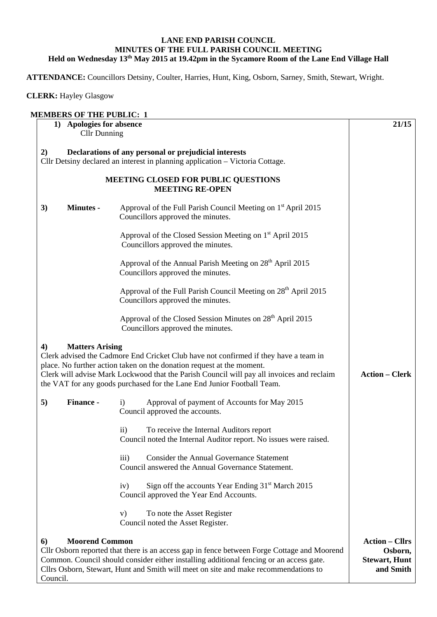## **LANE END PARISH COUNCIL MINUTES OF THE FULL PARISH COUNCIL MEETING Held on Wednesday 13th May 2015 at 19.42pm in the Sycamore Room of the Lane End Village Hall**

**ATTENDANCE:** Councillors Detsiny, Coulter, Harries, Hunt, King, Osborn, Sarney, Smith, Stewart, Wright.

**CLERK:** Hayley Glasgow

|                  | <b>Cllr Dunning</b>    | 1) Apologies for absence                                                                                                                                            | 21/15                 |
|------------------|------------------------|---------------------------------------------------------------------------------------------------------------------------------------------------------------------|-----------------------|
| 2)               |                        | Declarations of any personal or prejudicial interests<br>Cllr Detsiny declared an interest in planning application - Victoria Cottage.                              |                       |
|                  |                        | MEETING CLOSED FOR PUBLIC QUESTIONS                                                                                                                                 |                       |
|                  |                        | <b>MEETING RE-OPEN</b>                                                                                                                                              |                       |
| 3)               | <b>Minutes -</b>       | Approval of the Full Parish Council Meeting on 1 <sup>st</sup> April 2015<br>Councillors approved the minutes.                                                      |                       |
|                  |                        | Approval of the Closed Session Meeting on 1 <sup>st</sup> April 2015<br>Councillors approved the minutes.                                                           |                       |
|                  |                        | Approval of the Annual Parish Meeting on 28 <sup>th</sup> April 2015<br>Councillors approved the minutes.                                                           |                       |
|                  |                        | Approval of the Full Parish Council Meeting on 28 <sup>th</sup> April 2015<br>Councillors approved the minutes.                                                     |                       |
|                  |                        | Approval of the Closed Session Minutes on 28 <sup>th</sup> April 2015<br>Councillors approved the minutes.                                                          |                       |
| $\boldsymbol{4}$ | <b>Matters Arising</b> | Clerk advised the Cadmore End Cricket Club have not confirmed if they have a team in<br>place. No further action taken on the donation request at the moment.       |                       |
|                  |                        | Clerk will advise Mark Lockwood that the Parish Council will pay all invoices and reclaim<br>the VAT for any goods purchased for the Lane End Junior Football Team. |                       |
|                  | Finance -              | Approval of payment of Accounts for May 2015<br>$\mathbf{i}$<br>Council approved the accounts.                                                                      |                       |
|                  |                        | To receive the Internal Auditors report<br>11)<br>Council noted the Internal Auditor report. No issues were raised.                                                 | <b>Action – Clerk</b> |
|                  |                        | <b>Consider the Annual Governance Statement</b><br>iii)<br>Council answered the Annual Governance Statement.                                                        |                       |
|                  |                        | Sign off the accounts Year Ending 31 <sup>st</sup> March 2015<br>iv)<br>Council approved the Year End Accounts.                                                     |                       |
| 5)               |                        | V)<br>To note the Asset Register<br>Council noted the Asset Register.                                                                                               |                       |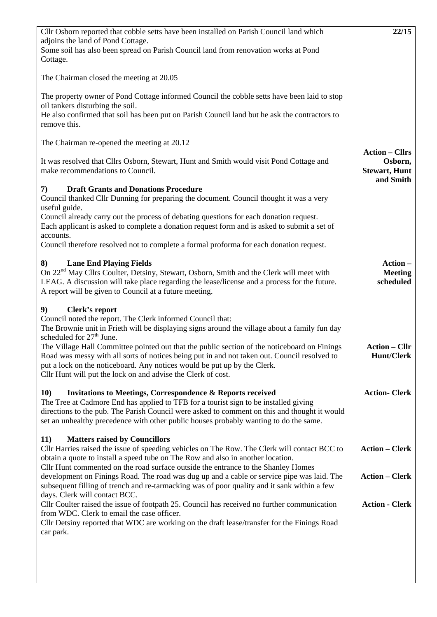| Cllr Osborn reported that cobble setts have been installed on Parish Council land which<br>adjoins the land of Pond Cottage.                                                                                                                                                                                                                                                                                                                                                                                                                                            | 22/15                                                                 |
|-------------------------------------------------------------------------------------------------------------------------------------------------------------------------------------------------------------------------------------------------------------------------------------------------------------------------------------------------------------------------------------------------------------------------------------------------------------------------------------------------------------------------------------------------------------------------|-----------------------------------------------------------------------|
| Some soil has also been spread on Parish Council land from renovation works at Pond<br>Cottage.                                                                                                                                                                                                                                                                                                                                                                                                                                                                         |                                                                       |
| The Chairman closed the meeting at 20.05                                                                                                                                                                                                                                                                                                                                                                                                                                                                                                                                |                                                                       |
| The property owner of Pond Cottage informed Council the cobble setts have been laid to stop<br>oil tankers disturbing the soil.<br>He also confirmed that soil has been put on Parish Council land but he ask the contractors to<br>remove this.                                                                                                                                                                                                                                                                                                                        |                                                                       |
| The Chairman re-opened the meeting at 20.12                                                                                                                                                                                                                                                                                                                                                                                                                                                                                                                             |                                                                       |
| It was resolved that Cllrs Osborn, Stewart, Hunt and Smith would visit Pond Cottage and<br>make recommendations to Council.                                                                                                                                                                                                                                                                                                                                                                                                                                             | <b>Action – Cllrs</b><br>Osborn,<br><b>Stewart, Hunt</b><br>and Smith |
| <b>Draft Grants and Donations Procedure</b><br>7)<br>Council thanked Cllr Dunning for preparing the document. Council thought it was a very<br>useful guide.                                                                                                                                                                                                                                                                                                                                                                                                            |                                                                       |
| Council already carry out the process of debating questions for each donation request.<br>Each applicant is asked to complete a donation request form and is asked to submit a set of<br>accounts.                                                                                                                                                                                                                                                                                                                                                                      |                                                                       |
| Council therefore resolved not to complete a formal proforma for each donation request.                                                                                                                                                                                                                                                                                                                                                                                                                                                                                 |                                                                       |
| <b>Lane End Playing Fields</b><br>8)<br>On 22 <sup>nd</sup> May Cllrs Coulter, Detsiny, Stewart, Osborn, Smith and the Clerk will meet with<br>LEAG. A discussion will take place regarding the lease/license and a process for the future.<br>A report will be given to Council at a future meeting.                                                                                                                                                                                                                                                                   | Action-<br><b>Meeting</b><br>scheduled                                |
| Clerk's report<br>9)<br>Council noted the report. The Clerk informed Council that:<br>The Brownie unit in Frieth will be displaying signs around the village about a family fun day<br>scheduled for 27 <sup>th</sup> June.<br>The Village Hall Committee pointed out that the public section of the noticeboard on Finings<br>Road was messy with all sorts of notices being put in and not taken out. Council resolved to<br>put a lock on the noticeboard. Any notices would be put up by the Clerk.<br>Cllr Hunt will put the lock on and advise the Clerk of cost. | <b>Action – Cllr</b><br><b>Hunt/Clerk</b>                             |
| <b>Invitations to Meetings, Correspondence &amp; Reports received</b><br><b>10)</b><br>The Tree at Cadmore End has applied to TFB for a tourist sign to be installed giving<br>directions to the pub. The Parish Council were asked to comment on this and thought it would<br>set an unhealthy precedence with other public houses probably wanting to do the same.                                                                                                                                                                                                    | <b>Action-Clerk</b>                                                   |
| 11)<br><b>Matters raised by Councillors</b><br>Cllr Harries raised the issue of speeding vehicles on The Row. The Clerk will contact BCC to<br>obtain a quote to install a speed tube on The Row and also in another location.                                                                                                                                                                                                                                                                                                                                          | <b>Action – Clerk</b>                                                 |
| Cllr Hunt commented on the road surface outside the entrance to the Shanley Homes<br>development on Finings Road. The road was dug up and a cable or service pipe was laid. The<br>subsequent filling of trench and re-tarmacking was of poor quality and it sank within a few<br>days. Clerk will contact BCC.                                                                                                                                                                                                                                                         | <b>Action – Clerk</b>                                                 |
| Cllr Coulter raised the issue of footpath 25. Council has received no further communication<br>from WDC. Clerk to email the case officer.<br>Cllr Detsiny reported that WDC are working on the draft lease/transfer for the Finings Road<br>car park.                                                                                                                                                                                                                                                                                                                   | <b>Action - Clerk</b>                                                 |
|                                                                                                                                                                                                                                                                                                                                                                                                                                                                                                                                                                         |                                                                       |
|                                                                                                                                                                                                                                                                                                                                                                                                                                                                                                                                                                         |                                                                       |